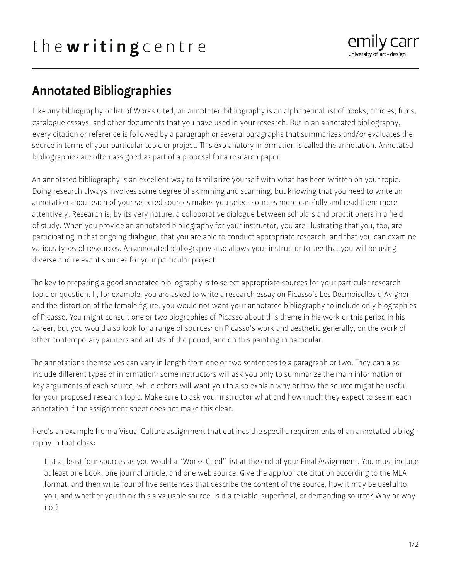

## Annotated Bibliographies

Like any bibliography or list of Works Cited, an annotated bibliography is an alphabetical list of books, articles, films, catalogue essays, and other documents that you have used in your research. But in an annotated bibliography, every citation or reference is followed by a paragraph or several paragraphs that summarizes and/or evaluates the source in terms of your particular topic or project. This explanatory information is called the annotation. Annotated bibliographies are often assigned as part of a proposal for a research paper.

An annotated bibliography is an excellent way to familiarize yourself with what has been written on your topic. Doing research always involves some degree of skimming and scanning, but knowing that you need to write an annotation about each of your selected sources makes you select sources more carefully and read them more attentively. Research is, by its very nature, a collaborative dialogue between scholars and practitioners in a field of study. When you provide an annotated bibliography for your instructor, you are illustrating that you, too, are participating in that ongoing dialogue, that you are able to conduct appropriate research, and that you can examine various types of resources. An annotated bibliography also allows your instructor to see that you will be using diverse and relevant sources for your particular project.

The key to preparing a good annotated bibliography is to select appropriate sources for your particular research topic or question. If, for example, you are asked to write a research essay on Picasso's Les Desmoiselles d'Avignon and the distortion of the female figure, you would not want your annotated bibliography to include only biographies of Picasso. You might consult one or two biographies of Picasso about this theme in his work or this period in his career, but you would also look for a range of sources: on Picasso's work and aesthetic generally, on the work of other contemporary painters and artists of the period, and on this painting in particular.

The annotations themselves can vary in length from one or two sentences to a paragraph or two. They can also include different types of information: some instructors will ask you only to summarize the main information or key arguments of each source, while others will want you to also explain why or how the source might be useful for your proposed research topic. Make sure to ask your instructor what and how much they expect to see in each annotation if the assignment sheet does not make this clear.

Here's an example from a Visual Culture assignment that outlines the specific requirements of an annotated bibliography in that class:

List at least four sources as you would a "Works Cited" list at the end of your Final Assignment. You must include at least one book, one journal article, and one web source. Give the appropriate citation according to the MLA format, and then write four of five sentences that describe the content of the source, how it may be useful to you, and whether you think this a valuable source. Is it a reliable, superficial, or demanding source? Why or why not?